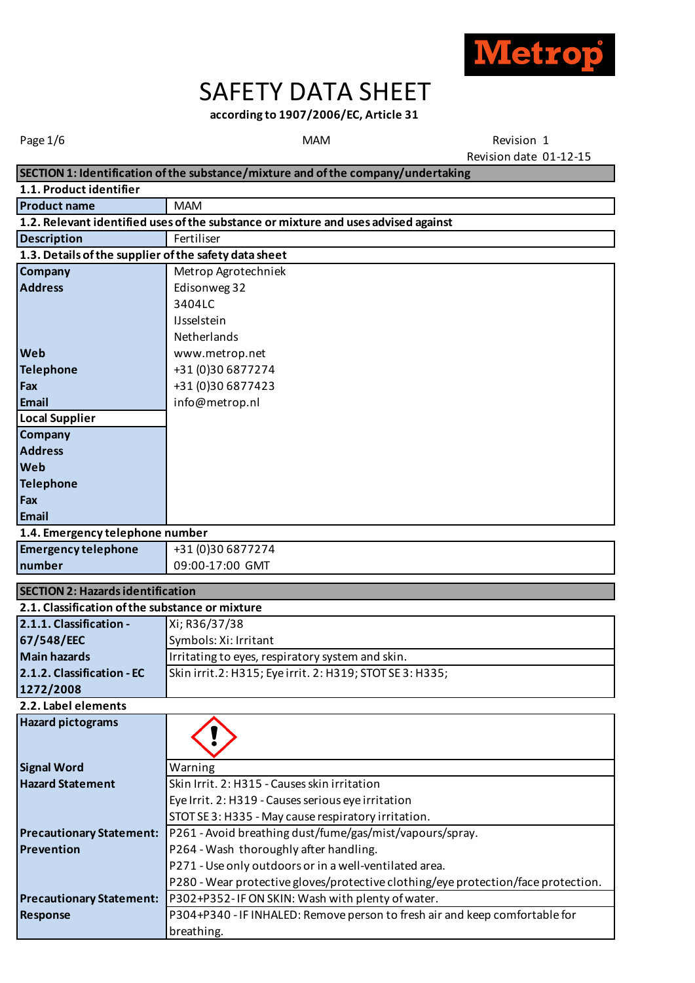

# SAFETY DATA SHEET

**according to 1907/2006/EC, Article 31** 

MAM

Page 1/6 **Revision 1 CONFIDENTIAL CONTROL** MAM Revision date 01-12-15

|                                                       | SECTION 1: Identification of the substance/mixture and of the company/undertaking  |  |
|-------------------------------------------------------|------------------------------------------------------------------------------------|--|
| 1.1. Product identifier                               |                                                                                    |  |
| <b>Product name</b>                                   | <b>MAM</b>                                                                         |  |
|                                                       | 1.2. Relevant identified uses of the substance or mixture and uses advised against |  |
| <b>Description</b>                                    | Fertiliser                                                                         |  |
| 1.3. Details of the supplier of the safety data sheet |                                                                                    |  |
| Company                                               | Metrop Agrotechniek                                                                |  |
| <b>Address</b>                                        | Edisonweg 32                                                                       |  |
|                                                       | 3404LC                                                                             |  |
|                                                       | <b>IJsselstein</b>                                                                 |  |
|                                                       | Netherlands                                                                        |  |
| Web                                                   | www.metrop.net                                                                     |  |
| <b>Telephone</b>                                      | +31 (0)30 6877274                                                                  |  |
| Fax                                                   | +31 (0)30 6877423                                                                  |  |
| Email                                                 | info@metrop.nl                                                                     |  |
| <b>Local Supplier</b>                                 |                                                                                    |  |
| Company                                               |                                                                                    |  |
| <b>Address</b>                                        |                                                                                    |  |
| Web                                                   |                                                                                    |  |
| <b>Telephone</b>                                      |                                                                                    |  |
| Fax                                                   |                                                                                    |  |
| Email                                                 |                                                                                    |  |
| 1.4. Emergency telephone number                       |                                                                                    |  |
| <b>Emergency telephone</b>                            | +31 (0)30 6877274                                                                  |  |
| number                                                | 09:00-17:00 GMT                                                                    |  |
| <b>SECTION 2: Hazards identification</b>              |                                                                                    |  |
| 2.1. Classification of the substance or mixture       |                                                                                    |  |
| 2.1.1. Classification -                               | Xi; R36/37/38                                                                      |  |
| 67/548/EEC                                            | Symbols: Xi: Irritant                                                              |  |
| <b>Main hazards</b>                                   | Irritating to eyes, respiratory system and skin.                                   |  |
| 2.1.2. Classification - EC                            | Skin irrit.2: H315; Eye irrit. 2: H319; STOT SE 3: H335;                           |  |
| 1272/2008                                             |                                                                                    |  |
| 2.2. Label elements                                   |                                                                                    |  |
| <b>Hazard pictograms</b>                              |                                                                                    |  |
|                                                       |                                                                                    |  |
|                                                       |                                                                                    |  |
| <b>Signal Word</b>                                    | Warning                                                                            |  |
| <b>Hazard Statement</b>                               | Skin Irrit. 2: H315 - Causes skin irritation                                       |  |
|                                                       | Eye Irrit. 2: H319 - Causes serious eye irritation                                 |  |
|                                                       | STOT SE 3: H335 - May cause respiratory irritation.                                |  |
| <b>Precautionary Statement:</b>                       | P261 - Avoid breathing dust/fume/gas/mist/vapours/spray.                           |  |
| Prevention                                            | P264 - Wash thoroughly after handling.                                             |  |
|                                                       | P271 - Use only outdoors or in a well-ventilated area.                             |  |
|                                                       | P280 - Wear protective gloves/protective clothing/eye protection/face protection.  |  |
| <b>Precautionary Statement:</b>                       | P302+P352-IF ON SKIN: Wash with plenty of water.                                   |  |
| <b>Response</b>                                       | P304+P340 - IF INHALED: Remove person to fresh air and keep comfortable for        |  |
|                                                       | breathing.                                                                         |  |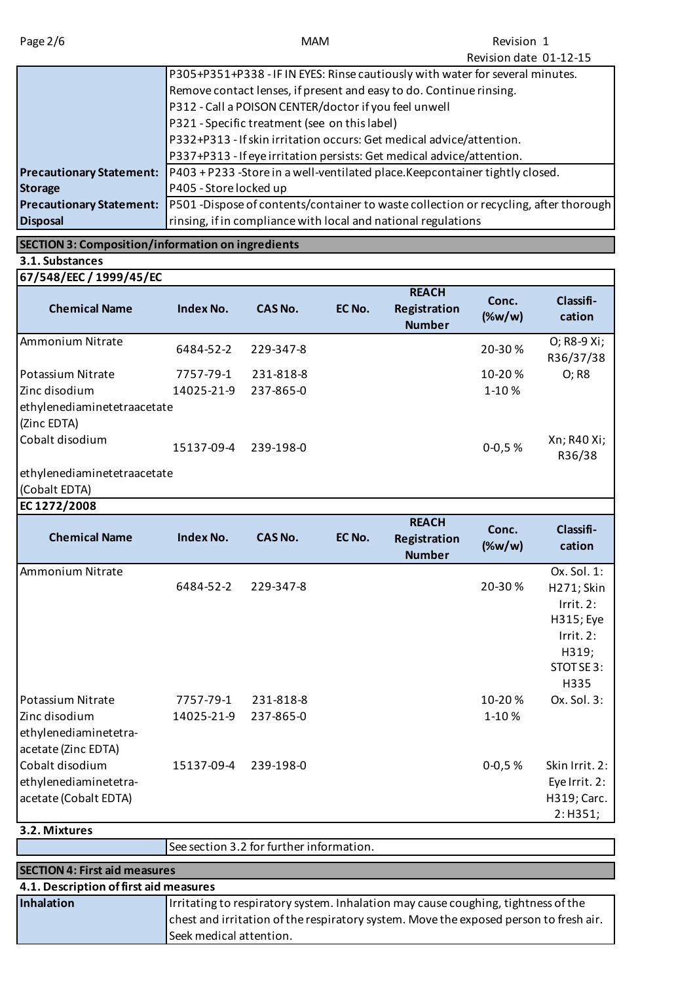|                                 | REVISION URLE UI-IZ-IJ                                                               |
|---------------------------------|--------------------------------------------------------------------------------------|
|                                 | P305+P351+P338 - IF IN EYES: Rinse cautiously with water for several minutes.        |
|                                 | Remove contact lenses, if present and easy to do. Continue rinsing.                  |
|                                 | P312 - Call a POISON CENTER/doctor if you feel unwell                                |
|                                 | P321 - Specific treatment (see on this label)                                        |
|                                 | P332+P313 - If skin irritation occurs: Get medical advice/attention.                 |
|                                 | P337+P313 - If eye irritation persists: Get medical advice/attention.                |
| <b>Precautionary Statement:</b> | P403+P233-Store in a well-ventilated place.Keepcontainer tightly closed.             |
| <b>Storage</b>                  | P405 - Store locked up                                                               |
| <b>Precautionary Statement:</b> | P501 -Dispose of contents/container to waste collection or recycling, after thorough |
| <b>Disposal</b>                 | rinsing, if in compliance with local and national regulations                        |
|                                 |                                                                                      |

# **SECTION 3: Composition/information on ingredients**

**3.1. Substances** 

| 67/548/EEC / 1999/45/EC        |                  |                |        |                                               |                    |                          |
|--------------------------------|------------------|----------------|--------|-----------------------------------------------|--------------------|--------------------------|
| <b>Chemical Name</b>           | Index No.        | <b>CAS No.</b> | EC No. | <b>REACH</b><br>Registration<br><b>Number</b> | Conc.<br>$(\%w/w)$ | Classifi-<br>cation      |
| Ammonium Nitrate               | 6484-52-2        | 229-347-8      |        |                                               | 20-30%             | O; R8-9 Xi;<br>R36/37/38 |
| Potassium Nitrate              | 7757-79-1        | 231-818-8      |        |                                               | 10-20%             | O; R8                    |
| Zinc disodium                  | 14025-21-9       | 237-865-0      |        |                                               | 1-10%              |                          |
| ethylenediaminetetraacetate    |                  |                |        |                                               |                    |                          |
| (Zinc EDTA)<br>Cobalt disodium | 15137-09-4       | 239-198-0      |        |                                               | $0 - 0.5 %$        | Xn; R40 Xi;<br>R36/38    |
| ethylenediaminetetraacetate    |                  |                |        |                                               |                    |                          |
| (Cobalt EDTA)                  |                  |                |        |                                               |                    |                          |
| EC 1272/2008                   |                  |                |        |                                               |                    |                          |
| <b>Chemical Name</b>           | <b>Index No.</b> | <b>CAS No.</b> | EC No. | <b>REACH</b><br>Registration<br><b>Number</b> | Conc.<br>$(\%w/w)$ | Classifi-<br>cation      |
| Ammonium Nitrate               |                  |                |        |                                               |                    | Ox. Sol. 1:              |
|                                | 6484-52-2        | 229-347-8      |        |                                               | 20-30%             | H271; Skin               |
|                                |                  |                |        |                                               |                    | Irrit. 2:                |
|                                |                  |                |        |                                               |                    | H315; Eye                |
|                                |                  |                |        |                                               |                    | Irrit. 2:                |
|                                |                  |                |        |                                               |                    | H319;<br>STOT SE3:       |
|                                |                  |                |        |                                               |                    | H335                     |
|                                |                  |                |        |                                               |                    |                          |

| Potassium Nitrate     | 7757-79-1  | 231-818-8 | $10 - 20%$  | $Ox$ . Sol. 3: |
|-----------------------|------------|-----------|-------------|----------------|
| Zinc disodium         | 14025-21-9 | 237-865-0 | $1-10%$     |                |
| ethylenediaminetetra- |            |           |             |                |
| acetate (Zinc EDTA)   |            |           |             |                |
| Cobalt disodium       | 15137-09-4 | 239-198-0 | $0 - 0.5 %$ | Skin Irrit. 2: |
| ethylenediaminetetra- |            |           |             | Eye Irrit. 2:  |
| acetate (Cobalt EDTA) |            |           |             | H319; Carc.    |
|                       |            |           |             | 2: H351;       |
| 3.2. Mixtures         |            |           |             |                |

|                                        | See section 3.2 for further information.                                              |  |
|----------------------------------------|---------------------------------------------------------------------------------------|--|
| <b>SECTION 4: First aid measures</b>   |                                                                                       |  |
| 4.1. Description of first aid measures |                                                                                       |  |
| Inhalation                             | Irritating to respiratory system. Inhalation may cause coughing, tightness of the     |  |
|                                        | chest and irritation of the respiratory system. Move the exposed person to fresh air. |  |
|                                        | Seek medical attention.                                                               |  |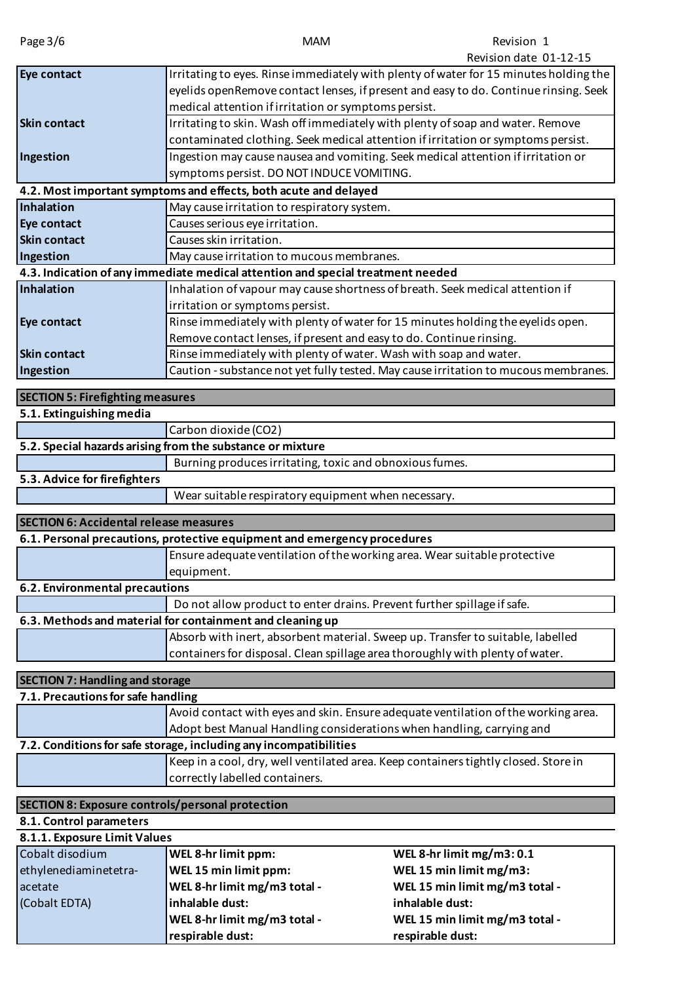| Page 3/6                                                | <b>MAM</b>                                                                          | Revision 1<br>Revision date 01-12-15                                                  |
|---------------------------------------------------------|-------------------------------------------------------------------------------------|---------------------------------------------------------------------------------------|
| Eye contact                                             |                                                                                     | Irritating to eyes. Rinse immediately with plenty of water for 15 minutes holding the |
|                                                         |                                                                                     | eyelids openRemove contact lenses, if present and easy to do. Continue rinsing. Seek  |
|                                                         | medical attention if irritation or symptoms persist.                                |                                                                                       |
| <b>Skin contact</b>                                     | Irritating to skin. Wash off immediately with plenty of soap and water. Remove      |                                                                                       |
|                                                         | contaminated clothing. Seek medical attention if irritation or symptoms persist.    |                                                                                       |
| Ingestion                                               | Ingestion may cause nausea and vomiting. Seek medical attention if irritation or    |                                                                                       |
|                                                         | symptoms persist. DO NOT INDUCE VOMITING.                                           |                                                                                       |
|                                                         | 4.2. Most important symptoms and effects, both acute and delayed                    |                                                                                       |
| Inhalation                                              | May cause irritation to respiratory system.                                         |                                                                                       |
| Eye contact                                             | Causes serious eye irritation.                                                      |                                                                                       |
| <b>Skin contact</b>                                     | Causes skin irritation.                                                             |                                                                                       |
| Ingestion                                               | May cause irritation to mucous membranes.                                           |                                                                                       |
|                                                         | 4.3. Indication of any immediate medical attention and special treatment needed     |                                                                                       |
| Inhalation                                              | Inhalation of vapour may cause shortness of breath. Seek medical attention if       |                                                                                       |
|                                                         | irritation or symptoms persist.                                                     |                                                                                       |
| Eye contact                                             | Rinse immediately with plenty of water for 15 minutes holding the eyelids open.     |                                                                                       |
|                                                         | Remove contact lenses, if present and easy to do. Continue rinsing.                 |                                                                                       |
| <b>Skin contact</b>                                     | Rinse immediately with plenty of water. Wash with soap and water.                   |                                                                                       |
| Ingestion                                               |                                                                                     | Caution - substance not yet fully tested. May cause irritation to mucous membranes.   |
|                                                         |                                                                                     |                                                                                       |
| <b>SECTION 5: Firefighting measures</b>                 |                                                                                     |                                                                                       |
| 5.1. Extinguishing media                                |                                                                                     |                                                                                       |
|                                                         | Carbon dioxide (CO2)                                                                |                                                                                       |
|                                                         | 5.2. Special hazards arising from the substance or mixture                          |                                                                                       |
|                                                         | Burning produces irritating, toxic and obnoxious fumes.                             |                                                                                       |
| 5.3. Advice for firefighters                            | Wear suitable respiratory equipment when necessary.                                 |                                                                                       |
|                                                         |                                                                                     |                                                                                       |
| <b>SECTION 6: Accidental release measures</b>           |                                                                                     |                                                                                       |
|                                                         | 6.1. Personal precautions, protective equipment and emergency procedures            |                                                                                       |
|                                                         | <b>Ensure</b> adequate ventilation of the working area. Wear suitable protective    |                                                                                       |
|                                                         | equipment.                                                                          |                                                                                       |
| 6.2. Environmental precautions                          |                                                                                     |                                                                                       |
|                                                         | Do not allow product to enter drains. Prevent further spillage if safe.             |                                                                                       |
|                                                         | 6.3. Methods and material for containment and cleaning up                           |                                                                                       |
|                                                         | Absorb with inert, absorbent material. Sweep up. Transfer to suitable, labelled     |                                                                                       |
|                                                         | containers for disposal. Clean spillage area thoroughly with plenty of water.       |                                                                                       |
| <b>SECTION 7: Handling and storage</b>                  |                                                                                     |                                                                                       |
| 7.1. Precautions for safe handling                      |                                                                                     |                                                                                       |
|                                                         | Avoid contact with eyes and skin. Ensure adequate ventilation of the working area.  |                                                                                       |
|                                                         | Adopt best Manual Handling considerations when handling, carrying and               |                                                                                       |
|                                                         | 7.2. Conditions for safe storage, including any incompatibilities                   |                                                                                       |
|                                                         | Keep in a cool, dry, well ventilated area. Keep containers tightly closed. Store in |                                                                                       |
|                                                         | correctly labelled containers.                                                      |                                                                                       |
|                                                         |                                                                                     |                                                                                       |
| <b>SECTION 8: Exposure controls/personal protection</b> |                                                                                     |                                                                                       |
| 8.1. Control parameters                                 |                                                                                     |                                                                                       |
| 8.1.1. Exposure Limit Values<br>Cobalt disodium         |                                                                                     |                                                                                       |
| ethylenediaminetetra-                                   | WEL 8-hr limit ppm:<br>WEL 15 min limit ppm:                                        | WEL 8-hr limit mg/m3:0.1<br>WEL 15 min limit mg/m3:                                   |
| acetate                                                 | WEL 8-hr limit mg/m3 total -                                                        | WEL 15 min limit mg/m3 total -                                                        |
| (Cobalt EDTA)                                           | inhalable dust:                                                                     | inhalable dust:                                                                       |
|                                                         |                                                                                     |                                                                                       |

**WEL 8-hr limit mg/m3 total - WEL 15 min limit mg/m3 total -**

**respirable dust: respirable dust:**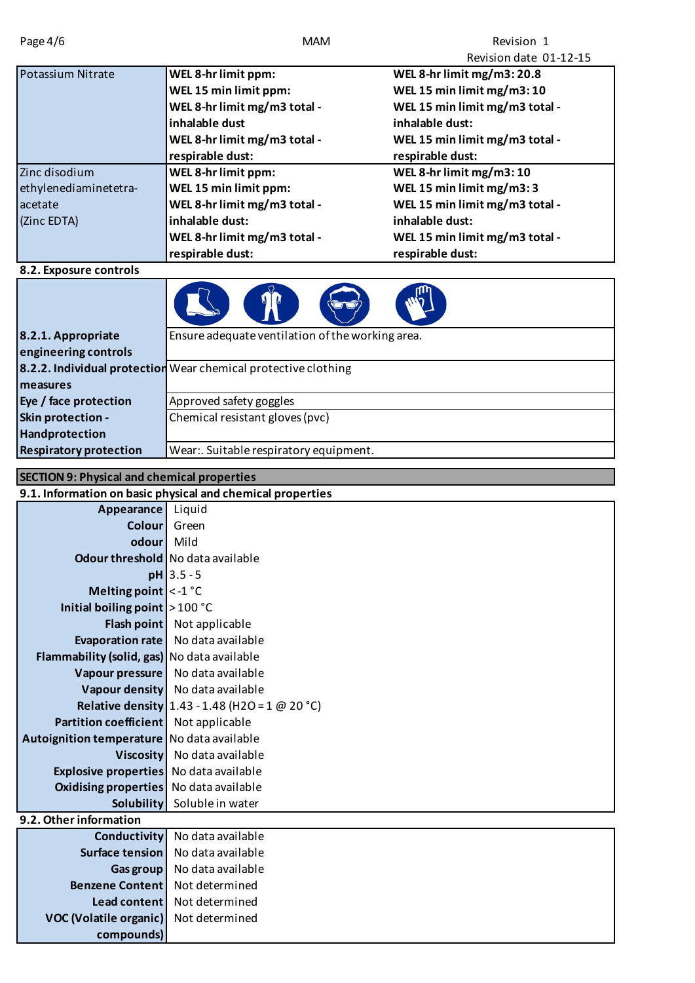| Page 4/6                                           | <b>MAM</b>                                                     | Revision 1                     |
|----------------------------------------------------|----------------------------------------------------------------|--------------------------------|
|                                                    |                                                                | Revision date 01-12-15         |
| Potassium Nitrate                                  | WEL 8-hr limit ppm:                                            | WEL 8-hr limit mg/m3: 20.8     |
|                                                    | WEL 15 min limit ppm:                                          | WEL 15 min limit mg/m3:10      |
|                                                    | WEL 8-hr limit mg/m3 total -                                   | WEL 15 min limit mg/m3 total - |
|                                                    | inhalable dust                                                 | inhalable dust:                |
|                                                    | WEL 8-hr limit mg/m3 total -                                   | WEL 15 min limit mg/m3 total - |
|                                                    | respirable dust:                                               | respirable dust:               |
| Zinc disodium                                      | WEL 8-hr limit ppm:                                            | WEL 8-hr limit mg/m3:10        |
| ethylenediaminetetra-                              | WEL 15 min limit ppm:                                          | WEL 15 min limit mg/m3:3       |
| acetate                                            | WEL 8-hr limit mg/m3 total -                                   | WEL 15 min limit mg/m3 total - |
| (Zinc EDTA)                                        | inhalable dust:                                                | inhalable dust:                |
|                                                    | WEL 8-hr limit mg/m3 total -                                   | WEL 15 min limit mg/m3 total - |
|                                                    | respirable dust:                                               | respirable dust:               |
| 8.2. Exposure controls                             |                                                                |                                |
|                                                    |                                                                |                                |
|                                                    |                                                                |                                |
| 8.2.1. Appropriate                                 | Ensure adequate ventilation of the working area.               |                                |
| engineering controls                               |                                                                |                                |
|                                                    | 8.2.2. Individual protection Wear chemical protective clothing |                                |
| measures                                           |                                                                |                                |
| Eye / face protection<br>Skin protection -         | Approved safety goggles<br>Chemical resistant gloves (pvc)     |                                |
| Handprotection                                     |                                                                |                                |
| <b>Respiratory protection</b>                      | Wear:. Suitable respiratory equipment.                         |                                |
|                                                    |                                                                |                                |
| <b>SECTION 9: Physical and chemical properties</b> |                                                                |                                |
|                                                    | 9.1. Information on basic physical and chemical properties     |                                |
| Appearance                                         | Liquid                                                         |                                |
| <b>Colour</b>                                      | Green                                                          |                                |
| odour                                              | Mild                                                           |                                |
|                                                    | <b>Odour threshold</b> No data available                       |                                |
|                                                    | $pH$ 3.5 - 5                                                   |                                |
| Melting point $\vert$ < -1 °C                      |                                                                |                                |
| Initial boiling point $>100 °C$                    |                                                                |                                |
|                                                    | Flash point Not applicable                                     |                                |
| Evaporation rate                                   | No data available                                              |                                |
| Flammability (solid, gas) No data available        |                                                                |                                |

**9.2. Other information** 

|                               | <b>Conductivity</b> No data available |
|-------------------------------|---------------------------------------|
| <b>Surface tension</b>        | No data available                     |
| Gas group                     | No data available                     |
| <b>Benzene Content</b>        | Not determined                        |
| Lead content                  | Not determined                        |
| <b>VOC (Volatile organic)</b> | Not determined                        |
| compounds)                    |                                       |

Vapour pressure No data available **Vapour density** No data available

**Partition coefficient** Not applicable Autoignition temperature No data available

> **Explosive properties** No data available **Oxidising properties** No data available

**Relative density** 1.43 - 1.48 (H2O = 1 @ 20 °C)

**Viscosity** No data available

**Solubility** Soluble in water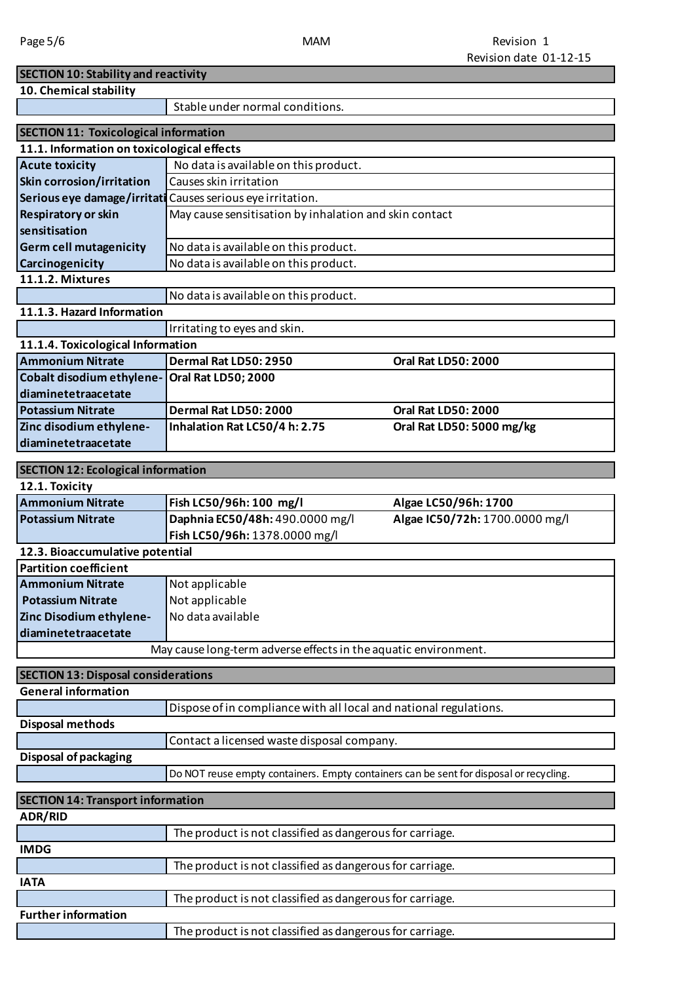#### MAM

| <b>SECTION 10: Stability and reactivity</b>  |                                                                                        |                                |
|----------------------------------------------|----------------------------------------------------------------------------------------|--------------------------------|
| 10. Chemical stability                       |                                                                                        |                                |
|                                              | Stable under normal conditions.                                                        |                                |
|                                              |                                                                                        |                                |
| <b>SECTION 11: Toxicological information</b> |                                                                                        |                                |
| 11.1. Information on toxicological effects   |                                                                                        |                                |
| <b>Acute toxicity</b>                        | No data is available on this product.                                                  |                                |
| Skin corrosion/irritation                    | Causes skin irritation                                                                 |                                |
|                                              | Serious eye damage/irritati Causes serious eye irritation.                             |                                |
| <b>Respiratory or skin</b>                   | May cause sensitisation by inhalation and skin contact                                 |                                |
| sensitisation                                |                                                                                        |                                |
| <b>Germ cell mutagenicity</b>                | No data is available on this product.                                                  |                                |
| Carcinogenicity                              | No data is available on this product.                                                  |                                |
| 11.1.2. Mixtures                             |                                                                                        |                                |
|                                              | No data is available on this product.                                                  |                                |
| 11.1.3. Hazard Information                   |                                                                                        |                                |
|                                              | Irritating to eyes and skin.                                                           |                                |
| 11.1.4. Toxicological Information            |                                                                                        |                                |
| <b>Ammonium Nitrate</b>                      | Dermal Rat LD50: 2950                                                                  | <b>Oral Rat LD50: 2000</b>     |
| <b>Cobalt disodium ethylene-</b>             | Oral Rat LD50; 2000                                                                    |                                |
| diaminetetraacetate                          |                                                                                        |                                |
| <b>Potassium Nitrate</b>                     | Dermal Rat LD50: 2000                                                                  | <b>Oral Rat LD50: 2000</b>     |
| Zinc disodium ethylene-                      | Inhalation Rat LC50/4 h: 2.75                                                          | Oral Rat LD50: 5000 mg/kg      |
| diaminetetraacetate                          |                                                                                        |                                |
|                                              |                                                                                        |                                |
| <b>SECTION 12: Ecological information</b>    |                                                                                        |                                |
| 12.1. Toxicity                               |                                                                                        |                                |
| <b>Ammonium Nitrate</b>                      | Fish LC50/96h: 100 mg/l                                                                | Algae LC50/96h: 1700           |
| <b>Potassium Nitrate</b>                     | Daphnia EC50/48h: 490.0000 mg/l                                                        | Algae IC50/72h: 1700.0000 mg/l |
|                                              | Fish LC50/96h: 1378.0000 mg/l                                                          |                                |
| 12.3. Bioaccumulative potential              |                                                                                        |                                |
| <b>Partition coefficient</b>                 |                                                                                        |                                |
| Ammonium Nitrate                             | Not applicable                                                                         |                                |
| <b>Potassium Nitrate</b>                     | Not applicable                                                                         |                                |
| Zinc Disodium ethylene-                      | No data available                                                                      |                                |
| diaminetetraacetate                          |                                                                                        |                                |
|                                              | May cause long-term adverse effects in the aquatic environment.                        |                                |
| <b>SECTION 13: Disposal considerations</b>   |                                                                                        |                                |
| <b>General information</b>                   |                                                                                        |                                |
|                                              | Dispose of in compliance with all local and national regulations.                      |                                |
| <b>Disposal methods</b>                      |                                                                                        |                                |
|                                              | Contact a licensed waste disposal company.                                             |                                |
| Disposal of packaging                        |                                                                                        |                                |
|                                              |                                                                                        |                                |
|                                              | Do NOT reuse empty containers. Empty containers can be sent for disposal or recycling. |                                |
| <b>SECTION 14: Transport information</b>     |                                                                                        |                                |
| <b>ADR/RID</b>                               |                                                                                        |                                |
|                                              | The product is not classified as dangerous for carriage.                               |                                |
| <b>IMDG</b>                                  |                                                                                        |                                |
|                                              | The product is not classified as dangerous for carriage.                               |                                |
| <b>IATA</b>                                  |                                                                                        |                                |
|                                              | The product is not classified as dangerous for carriage.                               |                                |
| <b>Further information</b>                   |                                                                                        |                                |
|                                              | The product is not classified as dangerous for carriage.                               |                                |
|                                              |                                                                                        |                                |